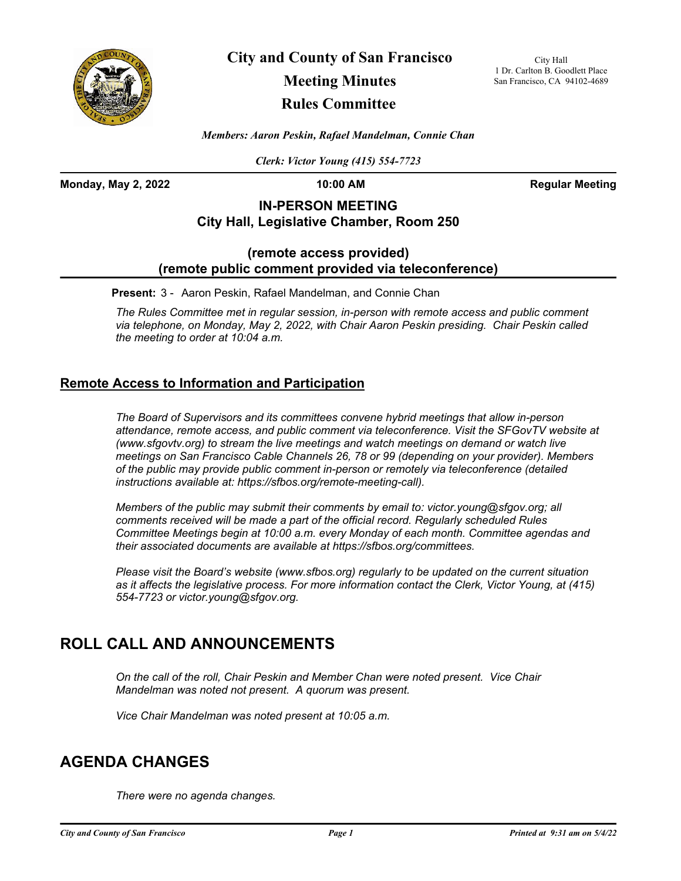

**City and County of San Francisco**

# **Meeting Minutes**

## **Rules Committee**

City Hall 1 Dr. Carlton B. Goodlett Place San Francisco, CA 94102-4689

*Members: Aaron Peskin, Rafael Mandelman, Connie Chan*

*Clerk: Victor Young (415) 554-7723*

**Monday, May 2, 2022 10:00 AM Regular Meeting**

## **IN-PERSON MEETING City Hall, Legislative Chamber, Room 250**

### **(remote access provided) (remote public comment provided via teleconference)**

**Present:** 3 - Aaron Peskin, Rafael Mandelman, and Connie Chan

*The Rules Committee met in regular session, in-person with remote access and public comment via telephone, on Monday, May 2, 2022, with Chair Aaron Peskin presiding. Chair Peskin called the meeting to order at 10:04 a.m.*

## **Remote Access to Information and Participation**

*The Board of Supervisors and its committees convene hybrid meetings that allow in-person attendance, remote access, and public comment via teleconference. Visit the SFGovTV website at (www.sfgovtv.org) to stream the live meetings and watch meetings on demand or watch live meetings on San Francisco Cable Channels 26, 78 or 99 (depending on your provider). Members of the public may provide public comment in-person or remotely via teleconference (detailed instructions available at: https://sfbos.org/remote-meeting-call).* 

*Members of the public may submit their comments by email to: victor.young@sfgov.org; all comments received will be made a part of the official record. Regularly scheduled Rules Committee Meetings begin at 10:00 a.m. every Monday of each month. Committee agendas and their associated documents are available at https://sfbos.org/committees.*

*Please visit the Board's website (www.sfbos.org) regularly to be updated on the current situation as it affects the legislative process. For more information contact the Clerk, Victor Young, at (415) 554-7723 or victor.young@sfgov.org.*

## **ROLL CALL AND ANNOUNCEMENTS**

*On the call of the roll, Chair Peskin and Member Chan were noted present. Vice Chair Mandelman was noted not present. A quorum was present.*

*Vice Chair Mandelman was noted present at 10:05 a.m.*

## **AGENDA CHANGES**

*There were no agenda changes.*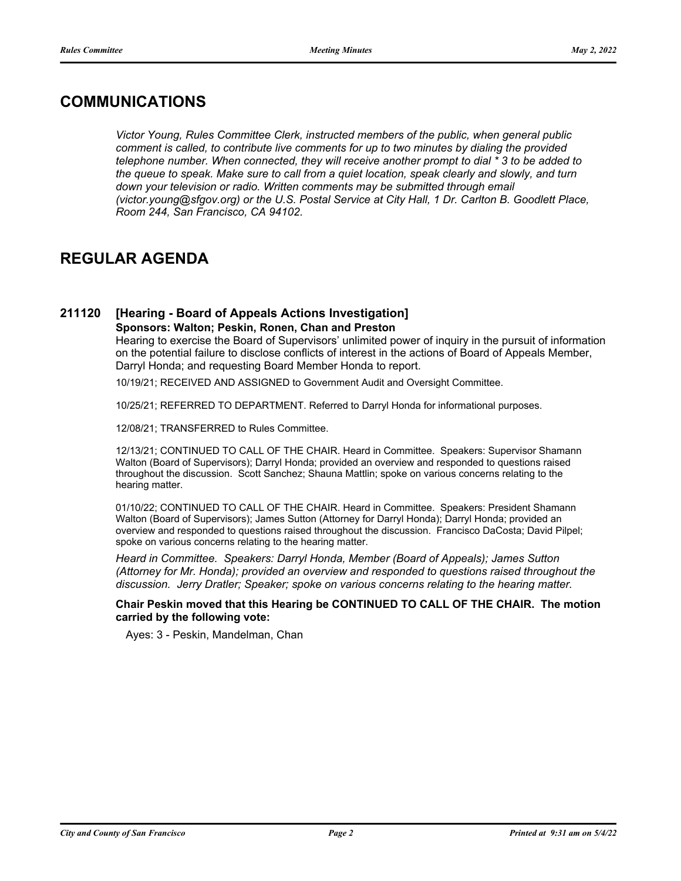## **COMMUNICATIONS**

*Victor Young, Rules Committee Clerk, instructed members of the public, when general public comment is called, to contribute live comments for up to two minutes by dialing the provided telephone number. When connected, they will receive another prompt to dial \* 3 to be added to the queue to speak. Make sure to call from a quiet location, speak clearly and slowly, and turn*  down your television or radio. Written comments may be submitted through email *(victor.young@sfgov.org) or the U.S. Postal Service at City Hall, 1 Dr. Carlton B. Goodlett Place, Room 244, San Francisco, CA 94102.*

## **REGULAR AGENDA**

### **211120 [Hearing - Board of Appeals Actions Investigation] Sponsors: Walton; Peskin, Ronen, Chan and Preston**

Hearing to exercise the Board of Supervisors' unlimited power of inquiry in the pursuit of information on the potential failure to disclose conflicts of interest in the actions of Board of Appeals Member, Darryl Honda; and requesting Board Member Honda to report.

10/19/21; RECEIVED AND ASSIGNED to Government Audit and Oversight Committee.

10/25/21; REFERRED TO DEPARTMENT. Referred to Darryl Honda for informational purposes.

12/08/21; TRANSFERRED to Rules Committee.

12/13/21; CONTINUED TO CALL OF THE CHAIR. Heard in Committee. Speakers: Supervisor Shamann Walton (Board of Supervisors); Darryl Honda; provided an overview and responded to questions raised throughout the discussion. Scott Sanchez; Shauna Mattlin; spoke on various concerns relating to the hearing matter.

01/10/22; CONTINUED TO CALL OF THE CHAIR. Heard in Committee. Speakers: President Shamann Walton (Board of Supervisors); James Sutton (Attorney for Darryl Honda); Darryl Honda; provided an overview and responded to questions raised throughout the discussion. Francisco DaCosta; David Pilpel; spoke on various concerns relating to the hearing matter.

*Heard in Committee. Speakers: Darryl Honda, Member (Board of Appeals); James Sutton (Attorney for Mr. Honda); provided an overview and responded to questions raised throughout the discussion. Jerry Dratler; Speaker; spoke on various concerns relating to the hearing matter.*

### **Chair Peskin moved that this Hearing be CONTINUED TO CALL OF THE CHAIR. The motion carried by the following vote:**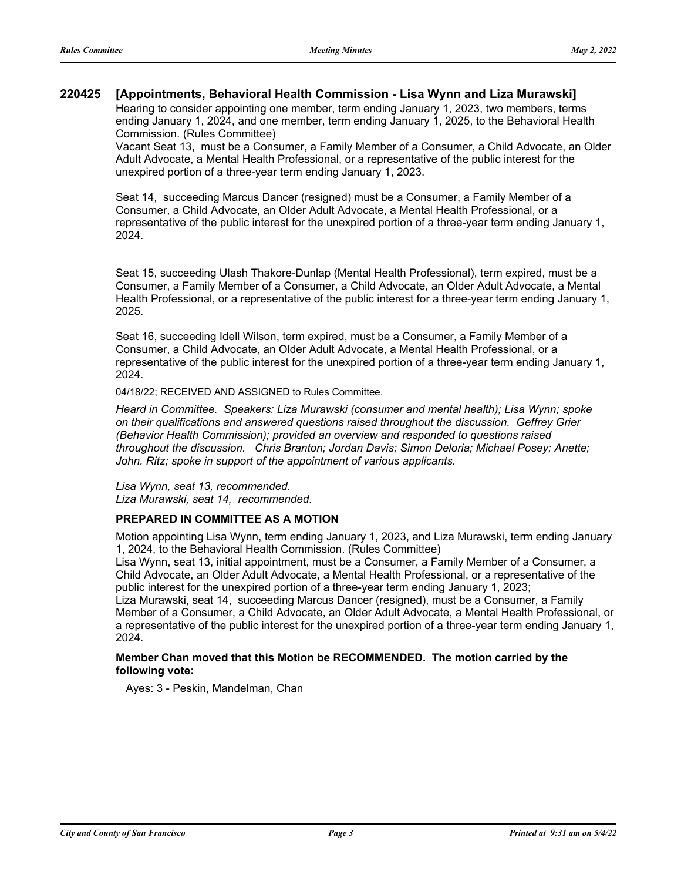### **220425 [Appointments, Behavioral Health Commission - Lisa Wynn and Liza Murawski]**

Hearing to consider appointing one member, term ending January 1, 2023, two members, terms ending January 1, 2024, and one member, term ending January 1, 2025, to the Behavioral Health Commission. (Rules Committee)

Vacant Seat 13, must be a Consumer, a Family Member of a Consumer, a Child Advocate, an Older Adult Advocate, a Mental Health Professional, or a representative of the public interest for the unexpired portion of a three-year term ending January 1, 2023.

Seat 14, succeeding Marcus Dancer (resigned) must be a Consumer, a Family Member of a Consumer, a Child Advocate, an Older Adult Advocate, a Mental Health Professional, or a representative of the public interest for the unexpired portion of a three-year term ending January 1, 2024.

Seat 15, succeeding Ulash Thakore-Dunlap (Mental Health Professional), term expired, must be a Consumer, a Family Member of a Consumer, a Child Advocate, an Older Adult Advocate, a Mental Health Professional, or a representative of the public interest for a three-year term ending January 1, 2025.

Seat 16, succeeding Idell Wilson, term expired, must be a Consumer, a Family Member of a Consumer, a Child Advocate, an Older Adult Advocate, a Mental Health Professional, or a representative of the public interest for the unexpired portion of a three-year term ending January 1, 2024.

04/18/22; RECEIVED AND ASSIGNED to Rules Committee.

*Heard in Committee. Speakers: Liza Murawski (consumer and mental health); Lisa Wynn; spoke on their qualifications and answered questions raised throughout the discussion. Geffrey Grier (Behavior Health Commission); provided an overview and responded to questions raised throughout the discussion. Chris Branton; Jordan Davis; Simon Deloria; Michael Posey; Anette; John. Ritz; spoke in support of the appointment of various applicants.*

*Lisa Wynn, seat 13, recommended. Liza Murawski, seat 14, recommended.*

### **PREPARED IN COMMITTEE AS A MOTION**

Motion appointing Lisa Wynn, term ending January 1, 2023, and Liza Murawski, term ending January 1, 2024, to the Behavioral Health Commission. (Rules Committee)

Lisa Wynn, seat 13, initial appointment, must be a Consumer, a Family Member of a Consumer, a Child Advocate, an Older Adult Advocate, a Mental Health Professional, or a representative of the public interest for the unexpired portion of a three-year term ending January 1, 2023;

Liza Murawski, seat 14, succeeding Marcus Dancer (resigned), must be a Consumer, a Family Member of a Consumer, a Child Advocate, an Older Adult Advocate, a Mental Health Professional, or a representative of the public interest for the unexpired portion of a three-year term ending January 1, 2024.

### **Member Chan moved that this Motion be RECOMMENDED. The motion carried by the following vote:**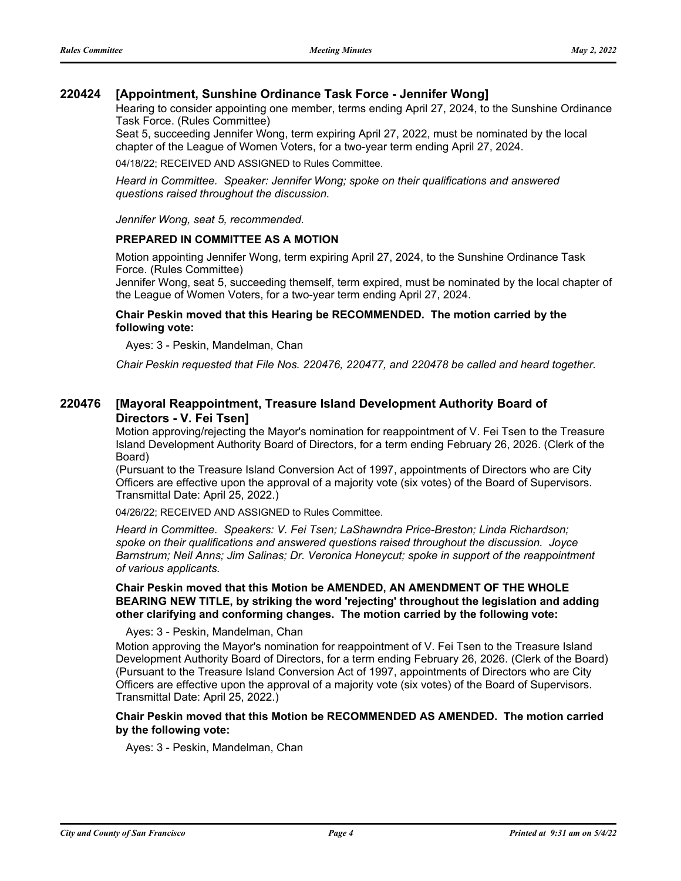### **220424 [Appointment, Sunshine Ordinance Task Force - Jennifer Wong]**

Hearing to consider appointing one member, terms ending April 27, 2024, to the Sunshine Ordinance Task Force. (Rules Committee)

Seat 5, succeeding Jennifer Wong, term expiring April 27, 2022, must be nominated by the local chapter of the League of Women Voters, for a two-year term ending April 27, 2024.

04/18/22; RECEIVED AND ASSIGNED to Rules Committee.

*Heard in Committee. Speaker: Jennifer Wong; spoke on their qualifications and answered questions raised throughout the discussion.*

*Jennifer Wong, seat 5, recommended.*

### **PREPARED IN COMMITTEE AS A MOTION**

Motion appointing Jennifer Wong, term expiring April 27, 2024, to the Sunshine Ordinance Task Force. (Rules Committee)

Jennifer Wong, seat 5, succeeding themself, term expired, must be nominated by the local chapter of the League of Women Voters, for a two-year term ending April 27, 2024.

### **Chair Peskin moved that this Hearing be RECOMMENDED. The motion carried by the following vote:**

Ayes: 3 - Peskin, Mandelman, Chan

*Chair Peskin requested that File Nos. 220476, 220477, and 220478 be called and heard together.*

#### **[Mayoral Reappointment, Treasure Island Development Authority Board of Directors - V. Fei Tsen] 220476**

Motion approving/rejecting the Mayor's nomination for reappointment of V. Fei Tsen to the Treasure Island Development Authority Board of Directors, for a term ending February 26, 2026. (Clerk of the Board)

(Pursuant to the Treasure Island Conversion Act of 1997, appointments of Directors who are City Officers are effective upon the approval of a majority vote (six votes) of the Board of Supervisors. Transmittal Date: April 25, 2022.)

04/26/22; RECEIVED AND ASSIGNED to Rules Committee.

*Heard in Committee. Speakers: V. Fei Tsen; LaShawndra Price-Breston; Linda Richardson; spoke on their qualifications and answered questions raised throughout the discussion. Joyce Barnstrum; Neil Anns; Jim Salinas; Dr. Veronica Honeycut; spoke in support of the reappointment of various applicants.*

### **Chair Peskin moved that this Motion be AMENDED, AN AMENDMENT OF THE WHOLE BEARING NEW TITLE, by striking the word 'rejecting' throughout the legislation and adding other clarifying and conforming changes. The motion carried by the following vote:**

Ayes: 3 - Peskin, Mandelman, Chan

Motion approving the Mayor's nomination for reappointment of V. Fei Tsen to the Treasure Island Development Authority Board of Directors, for a term ending February 26, 2026. (Clerk of the Board) (Pursuant to the Treasure Island Conversion Act of 1997, appointments of Directors who are City Officers are effective upon the approval of a majority vote (six votes) of the Board of Supervisors. Transmittal Date: April 25, 2022.)

### **Chair Peskin moved that this Motion be RECOMMENDED AS AMENDED. The motion carried by the following vote:**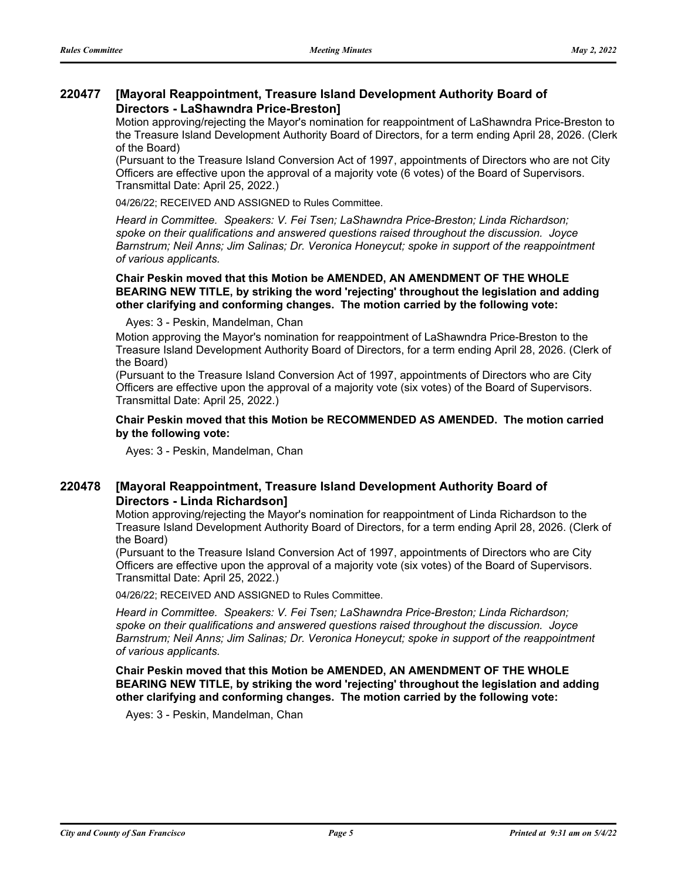#### **[Mayoral Reappointment, Treasure Island Development Authority Board of Directors - LaShawndra Price-Breston] 220477**

Motion approving/rejecting the Mayor's nomination for reappointment of LaShawndra Price-Breston to the Treasure Island Development Authority Board of Directors, for a term ending April 28, 2026. (Clerk of the Board)

(Pursuant to the Treasure Island Conversion Act of 1997, appointments of Directors who are not City Officers are effective upon the approval of a majority vote (6 votes) of the Board of Supervisors. Transmittal Date: April 25, 2022.)

04/26/22; RECEIVED AND ASSIGNED to Rules Committee.

*Heard in Committee. Speakers: V. Fei Tsen; LaShawndra Price-Breston; Linda Richardson; spoke on their qualifications and answered questions raised throughout the discussion. Joyce Barnstrum; Neil Anns; Jim Salinas; Dr. Veronica Honeycut; spoke in support of the reappointment of various applicants.*

### **Chair Peskin moved that this Motion be AMENDED, AN AMENDMENT OF THE WHOLE BEARING NEW TITLE, by striking the word 'rejecting' throughout the legislation and adding other clarifying and conforming changes. The motion carried by the following vote:**

Ayes: 3 - Peskin, Mandelman, Chan

Motion approving the Mayor's nomination for reappointment of LaShawndra Price-Breston to the Treasure Island Development Authority Board of Directors, for a term ending April 28, 2026. (Clerk of the Board)

(Pursuant to the Treasure Island Conversion Act of 1997, appointments of Directors who are City Officers are effective upon the approval of a majority vote (six votes) of the Board of Supervisors. Transmittal Date: April 25, 2022.)

### **Chair Peskin moved that this Motion be RECOMMENDED AS AMENDED. The motion carried by the following vote:**

Ayes: 3 - Peskin, Mandelman, Chan

#### **[Mayoral Reappointment, Treasure Island Development Authority Board of Directors - Linda Richardson] 220478**

Motion approving/rejecting the Mayor's nomination for reappointment of Linda Richardson to the Treasure Island Development Authority Board of Directors, for a term ending April 28, 2026. (Clerk of the Board)

(Pursuant to the Treasure Island Conversion Act of 1997, appointments of Directors who are City Officers are effective upon the approval of a majority vote (six votes) of the Board of Supervisors. Transmittal Date: April 25, 2022.)

04/26/22; RECEIVED AND ASSIGNED to Rules Committee.

*Heard in Committee. Speakers: V. Fei Tsen; LaShawndra Price-Breston; Linda Richardson; spoke on their qualifications and answered questions raised throughout the discussion. Joyce Barnstrum; Neil Anns; Jim Salinas; Dr. Veronica Honeycut; spoke in support of the reappointment of various applicants.*

**Chair Peskin moved that this Motion be AMENDED, AN AMENDMENT OF THE WHOLE BEARING NEW TITLE, by striking the word 'rejecting' throughout the legislation and adding other clarifying and conforming changes. The motion carried by the following vote:**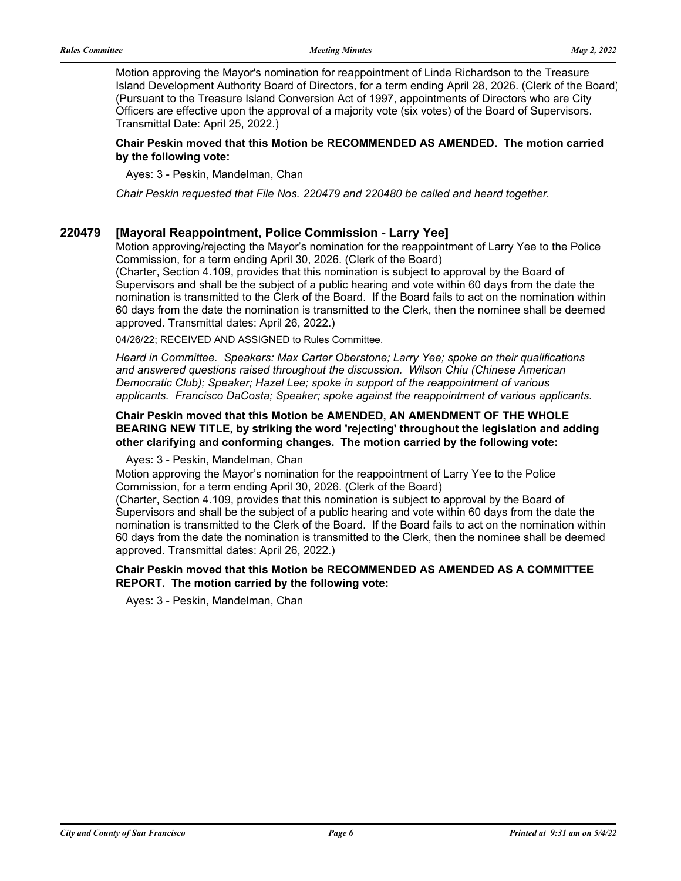Motion approving the Mayor's nomination for reappointment of Linda Richardson to the Treasure Island Development Authority Board of Directors, for a term ending April 28, 2026. (Clerk of the Board) (Pursuant to the Treasure Island Conversion Act of 1997, appointments of Directors who are City Officers are effective upon the approval of a majority vote (six votes) of the Board of Supervisors. Transmittal Date: April 25, 2022.)

### **Chair Peskin moved that this Motion be RECOMMENDED AS AMENDED. The motion carried by the following vote:**

Ayes: 3 - Peskin, Mandelman, Chan

*Chair Peskin requested that File Nos. 220479 and 220480 be called and heard together.*

### **220479 [Mayoral Reappointment, Police Commission - Larry Yee]**

Motion approving/rejecting the Mayor's nomination for the reappointment of Larry Yee to the Police Commission, for a term ending April 30, 2026. (Clerk of the Board) (Charter, Section 4.109, provides that this nomination is subject to approval by the Board of Supervisors and shall be the subject of a public hearing and vote within 60 days from the date the nomination is transmitted to the Clerk of the Board. If the Board fails to act on the nomination within 60 days from the date the nomination is transmitted to the Clerk, then the nominee shall be deemed

approved. Transmittal dates: April 26, 2022.)

04/26/22; RECEIVED AND ASSIGNED to Rules Committee.

*Heard in Committee. Speakers: Max Carter Oberstone; Larry Yee; spoke on their qualifications and answered questions raised throughout the discussion. Wilson Chiu (Chinese American Democratic Club); Speaker; Hazel Lee; spoke in support of the reappointment of various applicants. Francisco DaCosta; Speaker; spoke against the reappointment of various applicants.*

### **Chair Peskin moved that this Motion be AMENDED, AN AMENDMENT OF THE WHOLE BEARING NEW TITLE, by striking the word 'rejecting' throughout the legislation and adding other clarifying and conforming changes. The motion carried by the following vote:**

Ayes: 3 - Peskin, Mandelman, Chan

Motion approving the Mayor's nomination for the reappointment of Larry Yee to the Police Commission, for a term ending April 30, 2026. (Clerk of the Board)

(Charter, Section 4.109, provides that this nomination is subject to approval by the Board of Supervisors and shall be the subject of a public hearing and vote within 60 days from the date the nomination is transmitted to the Clerk of the Board. If the Board fails to act on the nomination within 60 days from the date the nomination is transmitted to the Clerk, then the nominee shall be deemed approved. Transmittal dates: April 26, 2022.)

### **Chair Peskin moved that this Motion be RECOMMENDED AS AMENDED AS A COMMITTEE REPORT. The motion carried by the following vote:**